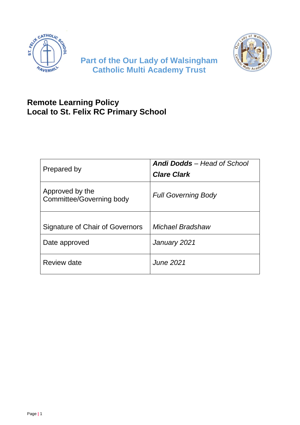



# **Part of the Our Lady of Walsingham Catholic Multi Academy Trust**

# **Remote Learning Policy Local to St. Felix RC Primary School**

| Prepared by                                 | <b>Andi Dodds</b> - Head of School<br><b>Clare Clark</b> |
|---------------------------------------------|----------------------------------------------------------|
| Approved by the<br>Committee/Governing body | <b>Full Governing Body</b>                               |
|                                             |                                                          |
| Signature of Chair of Governors             | Michael Bradshaw                                         |
| Date approved                               | January 2021                                             |
| Review date                                 | June 2021                                                |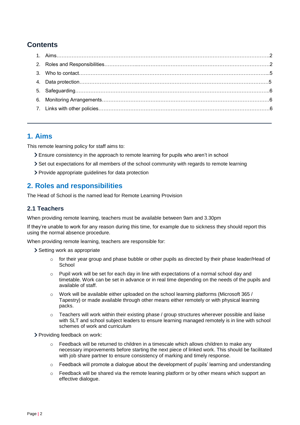## **Contents**

### **1. Aims**

This remote learning policy for staff aims to:

- Ensure consistency in the approach to remote learning for pupils who aren't in school
- Set out expectations for all members of the school community with regards to remote learning
- Provide appropriate guidelines for data protection

## **2. Roles and responsibilities**

The Head of School is the named lead for Remote Learning Provision

### **2.1 Teachers**

When providing remote learning, teachers must be available between 9am and 3.30pm

If they're unable to work for any reason during this time, for example due to sickness they should report this using the normal absence procedure.

When providing remote learning, teachers are responsible for:

- > Setting work as appropriate
	- $\circ$  for their year group and phase bubble or other pupils as directed by their phase leader/Head of **School**
	- $\circ$  Pupil work will be set for each day in line with expectations of a normal school day and timetable. Work can be set in advance or in real time depending on the needs of the pupils and available of staff.
	- $\circ$  Work will be available either uploaded on the school learning platforms (Microsoft 365 / Tapestry) or made available through other means either remotely or with physical learning packs.
	- $\circ$  Teachers will work within their existing phase / group structures wherever possible and liaise with SLT and school subject leaders to ensure learning managed remotely is in line with school schemes of work and curriculum
- Providing feedback on work:
	- $\circ$  Feedback will be returned to children in a timescale which allows children to make any necessary improvements before starting the next piece of linked work. This should be facilitated with job share partner to ensure consistency of marking and timely response.
	- $\circ$  Feedback will promote a dialogue about the development of pupils' learning and understanding
	- $\circ$  Feedback will be shared via the remote leaning platform or by other means which support an effective dialogue.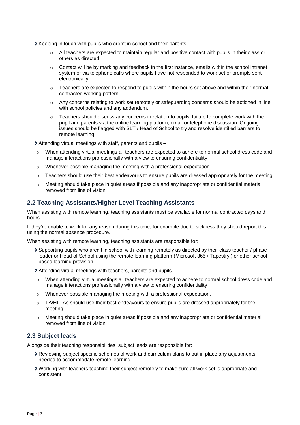- Xeeping in touch with pupils who aren't in school and their parents:
	- $\circ$  All teachers are expected to maintain regular and positive contact with pupils in their class or others as directed
	- $\circ$  Contact will be by marking and feedback in the first instance, emails within the school intranet system or via telephone calls where pupils have not responded to work set or prompts sent electronically
	- $\circ$  Teachers are expected to respond to pupils within the hours set above and within their normal contracted working pattern
	- $\circ$  Any concerns relating to work set remotely or safeguarding concerns should be actioned in line with school policies and any addendum.
	- $\circ$  Teachers should discuss any concerns in relation to pupils' failure to complete work with the pupil and parents via the online learning platform, email or telephone discussion. Ongoing issues should be flagged with SLT / Head of School to try and resolve identified barriers to remote learning

Attending virtual meetings with staff, parents and pupils –

- o When attending virtual meetings all teachers are expected to adhere to normal school dress code and manage interactions professionally with a view to ensuring confidentiality
- o Whenever possible managing the meeting with a professional expectation
- $\circ$  Teachers should use their best endeavours to ensure pupils are dressed appropriately for the meeting
- o Meeting should take place in quiet areas if possible and any inappropriate or confidential material removed from line of vision

#### **2.2 Teaching Assistants/Higher Level Teaching Assistants**

When assisting with remote learning, teaching assistants must be available for normal contracted days and hours.

If they're unable to work for any reason during this time, for example due to sickness they should report this using the normal absence procedure.

When assisting with remote learning, teaching assistants are responsible for:

Supporting pupils who aren't in school with learning remotely as directed by their class teacher / phase leader or Head of School using the remote learning platform (Microsoft 365 / Tapestry ) or other school based learning provision

Attending virtual meetings with teachers, parents and pupils –

- $\circ$  When attending virtual meetings all teachers are expected to adhere to normal school dress code and manage interactions professionally with a view to ensuring confidentiality
- o Whenever possible managing the meeting with a professional expectation.
- $\circ$  TA/HLTAs should use their best endeavours to ensure pupils are dressed appropriately for the meeting
- o Meeting should take place in quiet areas if possible and any inappropriate or confidential material removed from line of vision.

#### **2.3 Subject leads**

Alongside their teaching responsibilities, subject leads are responsible for:

- Reviewing subject specific schemes of work and curriculum plans to put in place any adjustments needed to accommodate remote learning
- Working with teachers teaching their subject remotely to make sure all work set is appropriate and consistent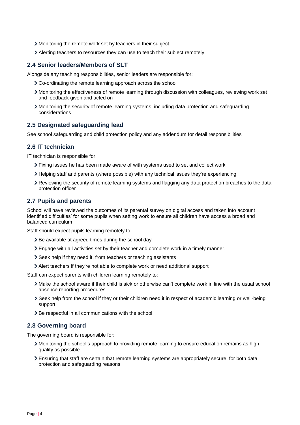- Monitoring the remote work set by teachers in their subject
- Alerting teachers to resources they can use to teach their subject remotely

#### **2.4 Senior leaders/Members of SLT**

Alongside any teaching responsibilities, senior leaders are responsible for:

- Co-ordinating the remote learning approach across the school
- Monitoring the effectiveness of remote learning through discussion with colleagues, reviewing work set and feedback given and acted on
- Monitoring the security of remote learning systems, including data protection and safeguarding considerations

#### **2.5 Designated safeguarding lead**

See school safeguarding and child protection policy and any addendum for detail responsibilities

#### **2.6 IT technician**

IT technician is responsible for:

- Fixing issues he has been made aware of with systems used to set and collect work
- Helping staff and parents (where possible) with any technical issues they're experiencing
- Reviewing the security of remote learning systems and flagging any data protection breaches to the data protection officer

#### **2.7 Pupils and parents**

School will have reviewed the outcomes of its parental survey on digital access and taken into account identified difficulties' for some pupils when setting work to ensure all children have access a broad and balanced curriculum

Staff should expect pupils learning remotely to:

- > Be available at agreed times during the school day
- Engage with all activities set by their teacher and complete work in a timely manner.
- Seek help if they need it, from teachers or teaching assistants
- Alert teachers if they're not able to complete work or need additional support

Staff can expect parents with children learning remotely to:

- Make the school aware if their child is sick or otherwise can't complete work in line with the usual school absence reporting procedures
- Seek help from the school if they or their children need it in respect of academic learning or well-being support
- > Be respectful in all communications with the school

#### **2.8 Governing board**

The governing board is responsible for:

- Monitoring the school's approach to providing remote learning to ensure education remains as high quality as possible
- Ensuring that staff are certain that remote learning systems are appropriately secure, for both data protection and safeguarding reasons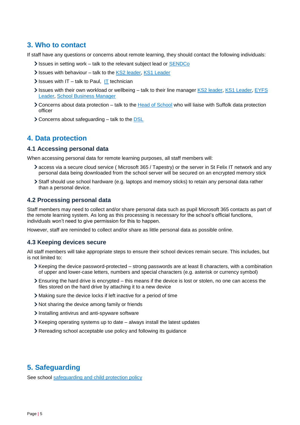## **3. Who to contact**

If staff have any questions or concerns about remote learning, they should contact the following individuals:

- Issues in setting work talk to the relevant subject lead or **SENDCo**
- Issues with behaviour talk to the KS2 [leader,](mailto:michelle.murray@st-felixrc.suffolk.sch.uk) [KS1 Leader](mailto:claire.shirm@st-felixrc.suffolk.sch.uk)
- $\sum$  Issues with [IT](mailto:paulcollen@stlouisacademy.co.uk) talk to Paul, IT technician
- Issues with their own workload or wellbeing talk to their line manager KS2 [leader,](mailto:michelle.murray@st-felixrc.suffolk.sch.uk) [KS1 Leader,](mailto:claire.shirm@st-felixrc.suffolk.sch.uk) EYFS [Leader,](mailto:tracey.naylor@st-felixrc.suffolk.sch.uk) [School Business Manager](mailto:sue.shackell@st-felixrc.suffolk.sch.uk)
- Concerns about data protection talk to the Head [of School](mailto:andi.dodds@st-felixrc.suffolk.sch.uk) who will liaise with Suffolk data protection officer
- Concerns about safeguarding talk to the [DSL](mailto:andi.dodds@st-felixrc.suffolk.sch.uk)

### **4. Data protection**

#### **4.1 Accessing personal data**

When accessing personal data for remote learning purposes, all staff members will:

- access via a secure cloud service ( Microsoft 365 / Tapestry) or the server in St Felix IT network and any personal data being downloaded from the school server will be secured on an encrypted memory stick
- Staff should use school hardware (e.g. laptops and memory sticks) to retain any personal data rather than a personal device.

#### **4.2 Processing personal data**

Staff members may need to collect and/or share personal data such as pupil Microsoft 365 contacts as part of the remote learning system. As long as this processing is necessary for the school's official functions, individuals won't need to give permission for this to happen.

However, staff are reminded to collect and/or share as little personal data as possible online.

#### **4.3 Keeping devices secure**

All staff members will take appropriate steps to ensure their school devices remain secure. This includes, but is not limited to:

- $\geq$  Keeping the device password-protected strong passwords are at least 8 characters, with a combination of upper and lower-case letters, numbers and special characters (e.g. asterisk or currency symbol)
- Ensuring the hard drive is encrypted this means if the device is lost or stolen, no one can access the files stored on the hard drive by attaching it to a new device
- Making sure the device locks if left inactive for a period of time
- Not sharing the device among family or friends
- Installing antivirus and anti-spyware software
- Keeping operating systems up to date always install the latest updates
- Rereading school acceptable use policy and following its guidance

### **5. Safeguarding**

See school [safeguarding and child protection policy](http://www.stfelixhaverhill.com/wp-content/uploads/2020/09/Safeguarding-Policy-September-2020.pdf)